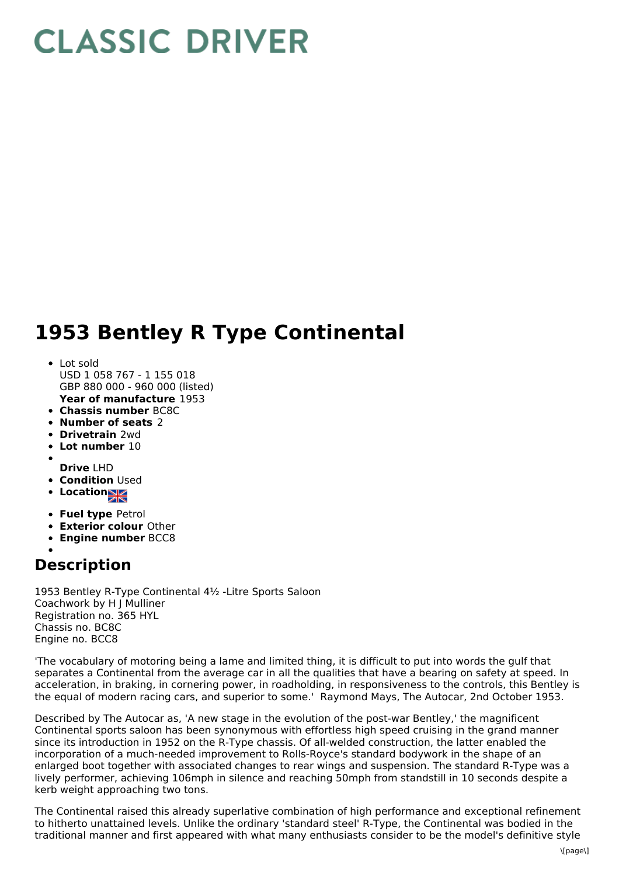## **CLASSIC DRIVER**

## **1953 Bentley R Type Continental**

- **Year of manufacture** 1953 Lot sold USD 1 058 767 - 1 155 018 GBP 880 000 - 960 000 (listed)
- **Chassis number** BC8C
- **Number of seats** 2
- **Drivetrain** 2wd
- 
- **Lot number** 10
- **Drive** LHD
- **Condition Used**
- **Locations**
- **Fuel type** Petrol
- **Exterior colour** Other
- **Engine number** BCC8

## **Description**

1953 Bentley R-Type Continental 4½ -Litre Sports Saloon Coachwork by H J Mulliner Registration no. 365 HYL Chassis no. BC8C Engine no. BCC8

'The vocabulary of motoring being a lame and limited thing, it is difficult to put into words the gulf that separates a Continental from the average car in all the qualities that have a bearing on safety at speed. In acceleration, in braking, in cornering power, in roadholding, in responsiveness to the controls, this Bentley is the equal of modern racing cars, and superior to some.' Raymond Mays, The Autocar, 2nd October 1953.

Described by The Autocar as, 'A new stage in the evolution of the post-war Bentley,' the magnificent Continental sports saloon has been synonymous with effortless high speed cruising in the grand manner since its introduction in 1952 on the R-Type chassis. Of all-welded construction, the latter enabled the incorporation of a much-needed improvement to Rolls-Royce's standard bodywork in the shape of an enlarged boot together with associated changes to rear wings and suspension. The standard R-Type was a lively performer, achieving 106mph in silence and reaching 50mph from standstill in 10 seconds despite a kerb weight approaching two tons.

The Continental raised this already superlative combination of high performance and exceptional refinement to hitherto unattained levels. Unlike the ordinary 'standard steel' R-Type, the Continental was bodied in the traditional manner and first appeared with what many enthusiasts consider to be the model's definitive style